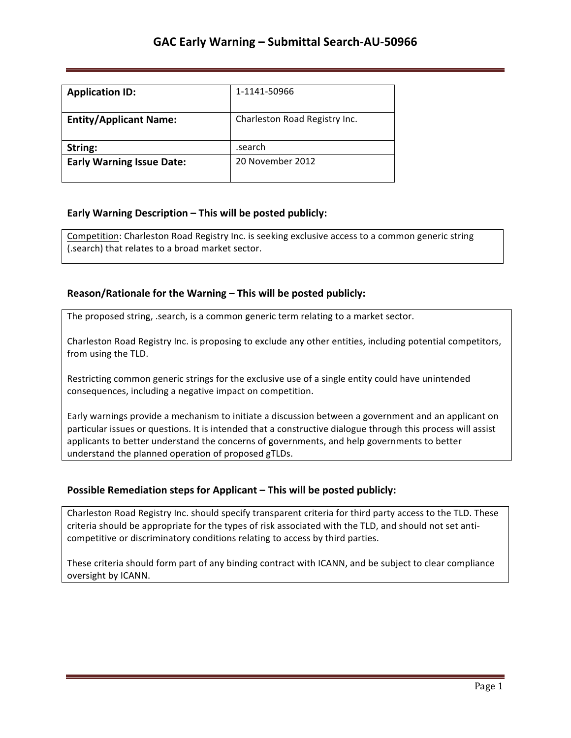| <b>Application ID:</b>           | 1-1141-50966                  |
|----------------------------------|-------------------------------|
| <b>Entity/Applicant Name:</b>    | Charleston Road Registry Inc. |
| String:                          | .search                       |
| <b>Early Warning Issue Date:</b> | 20 November 2012              |

## **Early Warning Description – This will be posted publicly:**

Competition: Charleston Road Registry Inc. is seeking exclusive access to a common generic string (.search) that relates to a broad market sector.

### **Reason/Rationale for the Warning – This will be posted publicly:**

The proposed string, .search, is a common generic term relating to a market sector.

Charleston Road Registry Inc. is proposing to exclude any other entities, including potential competitors, from using the TLD.

Restricting common generic strings for the exclusive use of a single entity could have unintended consequences, including a negative impact on competition.

Early warnings provide a mechanism to initiate a discussion between a government and an applicant on particular issues or questions. It is intended that a constructive dialogue through this process will assist applicants to better understand the concerns of governments, and help governments to better understand the planned operation of proposed gTLDs.

## **Possible Remediation steps for Applicant - This will be posted publicly:**

Charleston Road Registry Inc. should specify transparent criteria for third party access to the TLD. These criteria should be appropriate for the types of risk associated with the TLD, and should not set anticompetitive or discriminatory conditions relating to access by third parties.

These criteria should form part of any binding contract with ICANN, and be subject to clear compliance oversight by ICANN.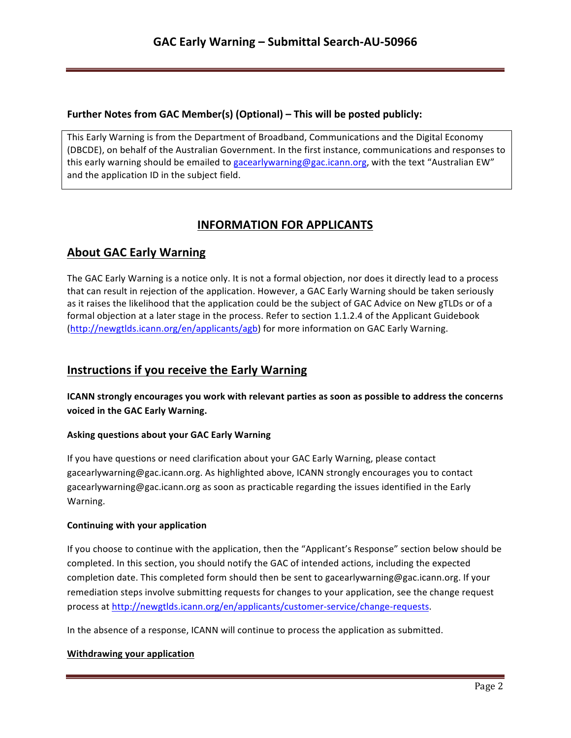## **Further Notes from GAC Member(s) (Optional) – This will be posted publicly:**

This Early Warning is from the Department of Broadband, Communications and the Digital Economy (DBCDE), on behalf of the Australian Government. In the first instance, communications and responses to this early warning should be emailed to gacearlywarning@gac.icann.org, with the text "Australian EW" and the application ID in the subject field.

# **INFORMATION FOR APPLICANTS**

# **About GAC Early Warning**

The GAC Early Warning is a notice only. It is not a formal objection, nor does it directly lead to a process that can result in rejection of the application. However, a GAC Early Warning should be taken seriously as it raises the likelihood that the application could be the subject of GAC Advice on New gTLDs or of a formal objection at a later stage in the process. Refer to section 1.1.2.4 of the Applicant Guidebook (http://newgtlds.icann.org/en/applicants/agb) for more information on GAC Early Warning.

## **Instructions if you receive the Early Warning**

**ICANN** strongly encourages you work with relevant parties as soon as possible to address the concerns voiced in the GAC Early Warning.

### **Asking questions about your GAC Early Warning**

If you have questions or need clarification about your GAC Early Warning, please contact gacearlywarning@gac.icann.org. As highlighted above, ICANN strongly encourages you to contact gacearlywarning@gac.icann.org as soon as practicable regarding the issues identified in the Early Warning. 

#### **Continuing with your application**

If you choose to continue with the application, then the "Applicant's Response" section below should be completed. In this section, you should notify the GAC of intended actions, including the expected completion date. This completed form should then be sent to gacearlywarning@gac.icann.org. If your remediation steps involve submitting requests for changes to your application, see the change request process at http://newgtlds.icann.org/en/applicants/customer-service/change-requests.

In the absence of a response, ICANN will continue to process the application as submitted.

#### **Withdrawing your application**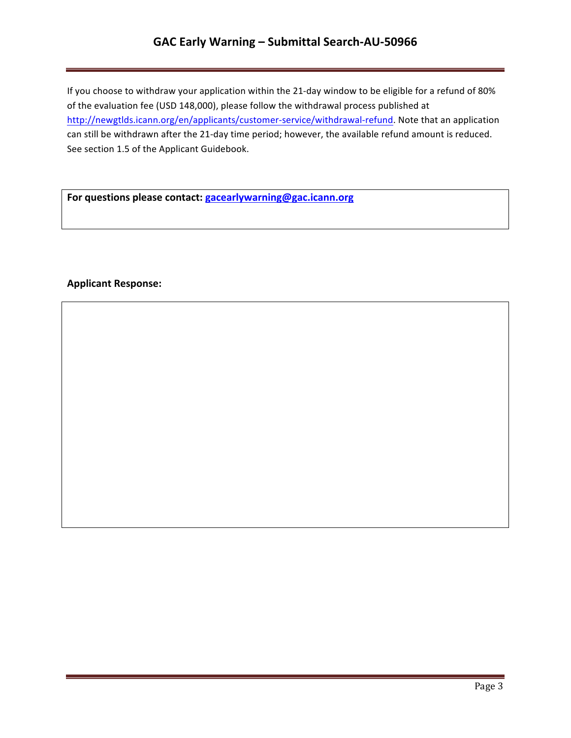## GAC Early Warning - Submittal Search-AU-50966

If you choose to withdraw your application within the 21-day window to be eligible for a refund of 80% of the evaluation fee (USD 148,000), please follow the withdrawal process published at http://newgtlds.icann.org/en/applicants/customer-service/withdrawal-refund. Note that an application can still be withdrawn after the 21-day time period; however, the available refund amount is reduced. See section 1.5 of the Applicant Guidebook.

For questions please contact: **gacearlywarning@gac.icann.org** 

### **Applicant Response:**